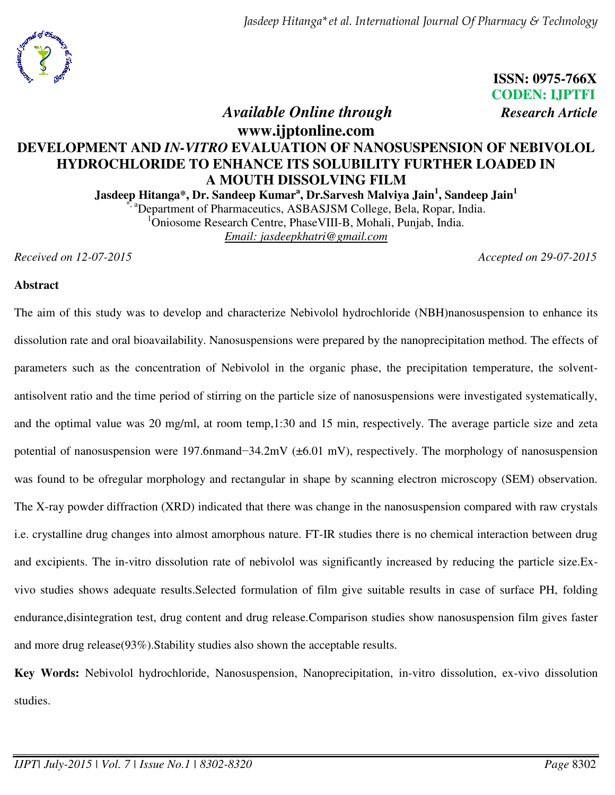

**ISSN: 0975-766X CODEN: IJPTFI** 

## *Available Online through**Research Article*

## **www.ijptonline.com DEVELOPMENT AND** *IN-VITRO* **EVALUATION OF NANOSUSPENSION OF NEBIVOLOL HYDROCHLORIDE TO ENHANCE ITS SOLUBILITY FURTHER LOADED IN A MOUTH DISSOLVING FILM**

**Jasdeep Hitanga\*, Dr. Sandeep Kumar<sup>a</sup> , Dr.Sarvesh Malviya Jain<sup>1</sup> , Sandeep Jain<sup>1</sup>** <sup>a</sup>Department of Pharmaceutics, ASBASJSM College, Bela, Ropar, India. <sup>1</sup>Oniosome Research Centre, PhaseVIII-B, Mohali, Punjab, India. *Email: jasdeepkhatri@gmail.com* 

*Received on 12-07-2015 Accepted on 29-07-2015*

#### **Abstract**

The aim of this study was to develop and characterize Nebivolol hydrochloride (NBH)nanosuspension to enhance its dissolution rate and oral bioavailability. Nanosuspensions were prepared by the nanoprecipitation method. The effects of parameters such as the concentration of Nebivolol in the organic phase, the precipitation temperature, the solventantisolvent ratio and the time period of stirring on the particle size of nanosuspensions were investigated systematically, and the optimal value was 20 mg/ml, at room temp,1:30 and 15 min, respectively. The average particle size and zeta potential of nanosuspension were 197.6nmand−34.2mV (±6.01 mV), respectively. The morphology of nanosuspension was found to be ofregular morphology and rectangular in shape by scanning electron microscopy (SEM) observation. The X-ray powder diffraction (XRD) indicated that there was change in the nanosuspension compared with raw crystals i.e. crystalline drug changes into almost amorphous nature. FT-IR studies there is no chemical interaction between drug and excipients. The in-vitro dissolution rate of nebivolol was significantly increased by reducing the particle size.Exvivo studies shows adequate results.Selected formulation of film give suitable results in case of surface PH, folding endurance,disintegration test, drug content and drug release.Comparison studies show nanosuspension film gives faster and more drug release(93%).Stability studies also shown the acceptable results.

**Key Words:** Nebivolol hydrochloride, Nanosuspension, Nanoprecipitation, in-vitro dissolution, ex-vivo dissolution studies.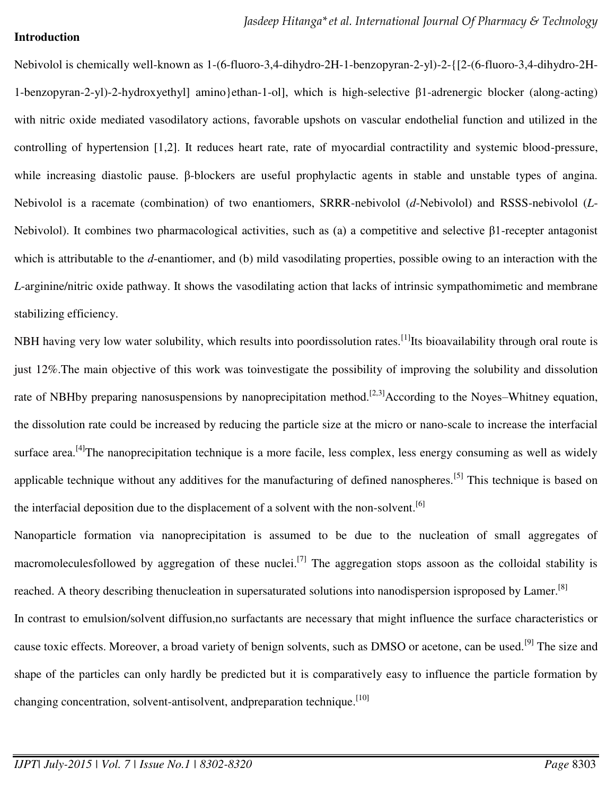#### **Introduction**

Nebivolol is chemically well-known as 1-(6-fluoro-3,4-dihydro-2H-1-benzopyran-2-yl)-2-{[2-(6-fluoro-3,4-dihydro-2H-1-benzopyran-2-yl)-2-hydroxyethyl] amino}ethan-1-ol], which is high-selective β1-adrenergic blocker (along-acting) with nitric oxide mediated vasodilatory actions, favorable upshots on vascular endothelial function and utilized in the controlling of hypertension [1,2]. It reduces heart rate, rate of myocardial contractility and systemic blood-pressure, while increasing diastolic pause. β-blockers are useful prophylactic agents in stable and unstable types of angina. Nebivolol is a racemate (combination) of two enantiomers, SRRR-nebivolol (*d*-Nebivolol) and RSSS-nebivolol (*L*-Nebivolol). It combines two pharmacological activities, such as (a) a competitive and selective β1-recepter antagonist which is attributable to the *d*-enantiomer, and (b) mild vasodilating properties, possible owing to an interaction with the *L*-arginine/nitric oxide pathway. It shows the vasodilating action that lacks of intrinsic sympathomimetic and membrane stabilizing efficiency.

NBH having very low water solubility, which results into poordissolution rates.<sup>[1]</sup>Its bioavailability through oral route is just 12%.The main objective of this work was toinvestigate the possibility of improving the solubility and dissolution rate of NBHby preparing nanosuspensions by nanoprecipitation method.<sup>[2,3]</sup>According to the Noyes–Whitney equation, the dissolution rate could be increased by reducing the particle size at the micro or nano-scale to increase the interfacial surface area.<sup>[4]</sup>The nanoprecipitation technique is a more facile, less complex, less energy consuming as well as widely applicable technique without any additives for the manufacturing of defined nanospheres.<sup>[5]</sup> This technique is based on the interfacial deposition due to the displacement of a solvent with the non-solvent.<sup>[6]</sup>

Nanoparticle formation via nanoprecipitation is assumed to be due to the nucleation of small aggregates of macromoleculesfollowed by aggregation of these nuclei.[7] The aggregation stops assoon as the colloidal stability is reached. A theory describing thenucleation in supersaturated solutions into nanodispersion isproposed by Lamer.<sup>[8]</sup> In contrast to emulsion/solvent diffusion,no surfactants are necessary that might influence the surface characteristics or cause toxic effects. Moreover, a broad variety of benign solvents, such as DMSO or acetone, can be used.<sup>[9]</sup> The size and shape of the particles can only hardly be predicted but it is comparatively easy to influence the particle formation by changing concentration, solvent-antisolvent, andpreparation technique.<sup>[10]</sup>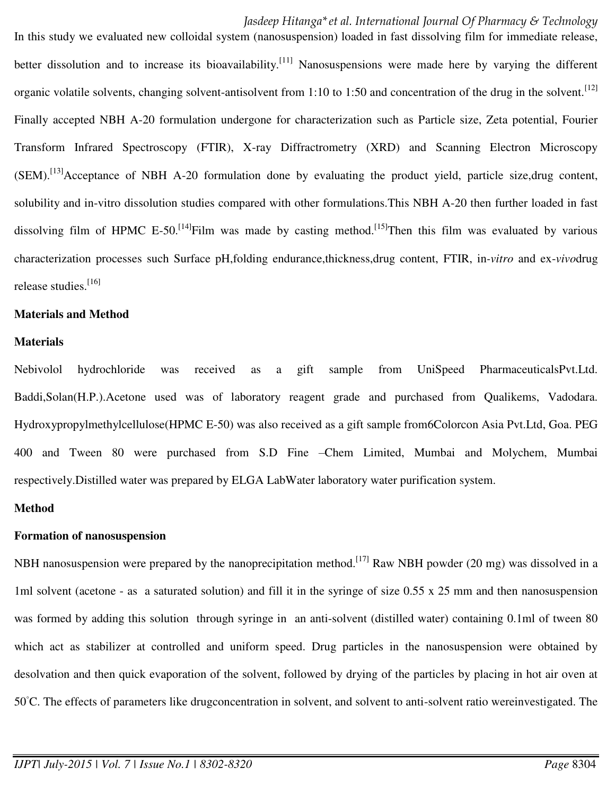In this study we evaluated new colloidal system (nanosuspension) loaded in fast dissolving film for immediate release, better dissolution and to increase its bioavailability.<sup>[11]</sup> Nanosuspensions were made here by varying the different organic volatile solvents, changing solvent-antisolvent from 1:10 to 1:50 and concentration of the drug in the solvent.  $[12]$ Finally accepted NBH A-20 formulation undergone for characterization such as Particle size, Zeta potential, Fourier Transform Infrared Spectroscopy (FTIR), X-ray Diffractrometry (XRD) and Scanning Electron Microscopy (SEM).<sup>[13]</sup>Acceptance of NBH A-20 formulation done by evaluating the product yield, particle size,drug content, solubility and in-vitro dissolution studies compared with other formulations.This NBH A-20 then further loaded in fast dissolving film of HPMC E-50.<sup>[14]</sup>Film was made by casting method.<sup>[15]</sup>Then this film was evaluated by various characterization processes such Surface pH,folding endurance,thickness,drug content, FTIR, in*-vitro* and ex-*vivo*drug release studies.<sup>[16]</sup>

#### **Materials and Method**

#### **Materials**

Nebivolol hydrochloride was received as a gift sample from UniSpeed PharmaceuticalsPvt.Ltd. Baddi,Solan(H.P.).Acetone used was of laboratory reagent grade and purchased from Qualikems, Vadodara. Hydroxypropylmethylcellulose(HPMC E-50) was also received as a gift sample from6Colorcon Asia Pvt.Ltd, Goa. PEG 400 and Tween 80 were purchased from S.D Fine –Chem Limited, Mumbai and Molychem, Mumbai respectively.Distilled water was prepared by ELGA LabWater laboratory water purification system.

#### **Method**

#### **Formation of nanosuspension**

NBH nanosuspension were prepared by the nanoprecipitation method.<sup>[17]</sup> Raw NBH powder (20 mg) was dissolved in a 1ml solvent (acetone - as a saturated solution) and fill it in the syringe of size 0.55 x 25 mm and then nanosuspension was formed by adding this solution through syringe in an anti-solvent (distilled water) containing 0.1ml of tween 80 which act as stabilizer at controlled and uniform speed. Drug particles in the nanosuspension were obtained by desolvation and then quick evaporation of the solvent, followed by drying of the particles by placing in hot air oven at 50◦C. The effects of parameters like drugconcentration in solvent, and solvent to anti-solvent ratio wereinvestigated. The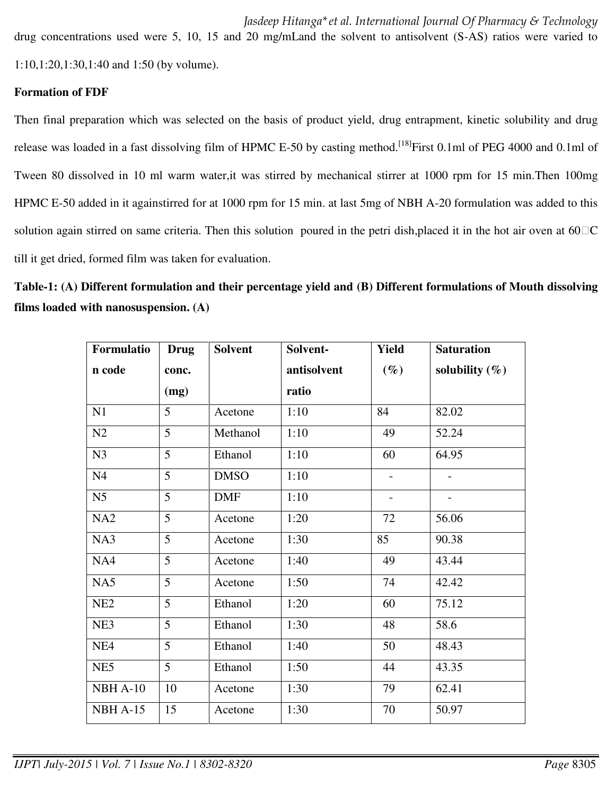drug concentrations used were 5, 10, 15 and 20 mg/mLand the solvent to antisolvent (S-AS) ratios were varied to 1:10,1:20,1:30,1:40 and 1:50 (by volume).

#### **Formation of FDF**

Then final preparation which was selected on the basis of product yield, drug entrapment, kinetic solubility and drug release was loaded in a fast dissolving film of HPMC E-50 by casting method.<sup>[18]</sup>First 0.1ml of PEG 4000 and 0.1ml of Tween 80 dissolved in 10 ml warm water,it was stirred by mechanical stirrer at 1000 rpm for 15 min.Then 100mg HPMC E-50 added in it againstirred for at 1000 rpm for 15 min. at last 5mg of NBH A-20 formulation was added to this solution again stirred on same criteria. Then this solution poured in the petri dish, placed it in the hot air oven at  $60\,\text{C}$ till it get dried, formed film was taken for evaluation.

**Table-1: (A) Different formulation and their percentage yield and (B) Different formulations of Mouth dissolving films loaded with nanosuspension. (A)** 

| Formulatio      | <b>Drug</b>     | <b>Solvent</b> | Solvent-    | <b>Yield</b>             | <b>Saturation</b> |
|-----------------|-----------------|----------------|-------------|--------------------------|-------------------|
| n code          | conc.           |                | antisolvent | $(\%)$                   | solubility $(\%)$ |
|                 | (mg)            |                | ratio       |                          |                   |
| N1              | $\overline{5}$  | Acetone        | 1:10        | 84                       | 82.02             |
| N2              | $\overline{5}$  | Methanol       | 1:10        | 49                       | 52.24             |
| N <sub>3</sub>  | 5               | Ethanol        | 1:10        | 60                       | 64.95             |
| N <sub>4</sub>  | $\overline{5}$  | <b>DMSO</b>    | 1:10        |                          |                   |
| N <sub>5</sub>  | 5               | <b>DMF</b>     | 1:10        | $\overline{\phantom{a}}$ |                   |
| NA <sub>2</sub> | 5               | Acetone        | 1:20        | 72                       | 56.06             |
| NA3             | 5               | Acetone        | 1:30        | 85                       | 90.38             |
| NA4             | $\overline{5}$  | Acetone        | 1:40        | 49                       | 43.44             |
| NA5             | 5               | Acetone        | 1:50        | 74                       | 42.42             |
| NE <sub>2</sub> | 5               | Ethanol        | 1:20        | 60                       | 75.12             |
| NE3             | $\overline{5}$  | Ethanol        | 1:30        | 48                       | 58.6              |
| NE <sub>4</sub> | $\overline{5}$  | Ethanol        | 1:40        | 50                       | 48.43             |
| NE <sub>5</sub> | $5\overline{)}$ | Ethanol        | 1:50        | 44                       | 43.35             |
| NBH A-10        | 10              | Acetone        | 1:30        | 79                       | 62.41             |
| <b>NBH A-15</b> | 15              | Acetone        | 1:30        | 70                       | 50.97             |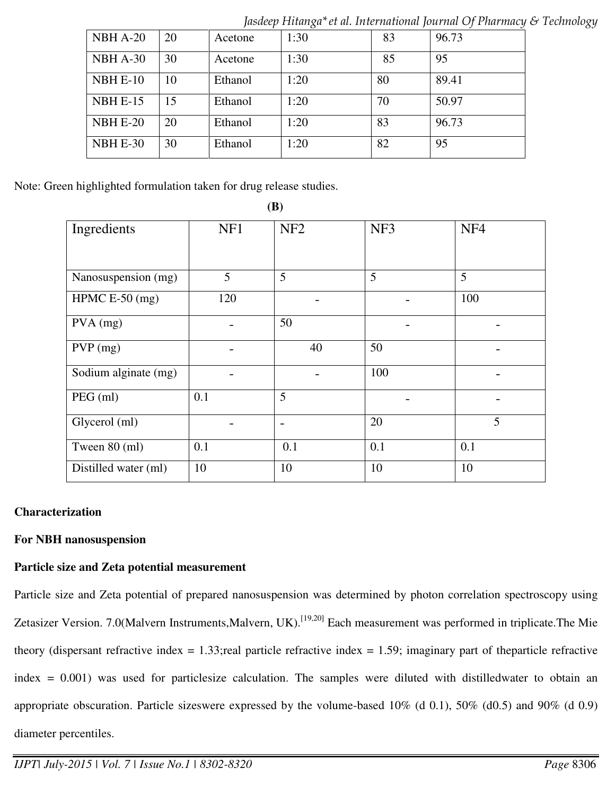|          |    |         | $\cdot$ |    | $\sim$ |
|----------|----|---------|---------|----|--------|
| NBH A-20 | 20 | Acetone | 1:30    | 83 | 96.73  |
| NBH A-30 | 30 | Acetone | 1:30    | 85 | 95     |
| NBH E-10 | 10 | Ethanol | 1:20    | 80 | 89.41  |
| NBH E-15 | 15 | Ethanol | 1:20    | 70 | 50.97  |
| NBH E-20 | 20 | Ethanol | 1:20    | 83 | 96.73  |
| NBH E-30 | 30 | Ethanol | 1:20    | 82 | 95     |

*Jasdeep Hitanga\*et al. International Journal Of Pharmacy & Technology* 

Note: Green highlighted formulation taken for drug release studies.

| Ingredients          | NF1 | NF <sub>2</sub> | NF3 | NF <sub>4</sub> |
|----------------------|-----|-----------------|-----|-----------------|
|                      |     |                 |     |                 |
| Nanosuspension (mg)  | 5   | 5               | 5   | 5               |
| HPMC $E-50$ (mg)     | 120 |                 |     | 100             |
| $PVA$ (mg)           |     | 50              |     |                 |
| $PVP$ (mg)           |     | 40              | 50  |                 |
| Sodium alginate (mg) |     |                 | 100 |                 |
| PEG (ml)             | 0.1 | 5               |     |                 |
| Glycerol (ml)        |     |                 | 20  | 5               |
| Tween 80 (ml)        | 0.1 | 0.1             | 0.1 | 0.1             |
| Distilled water (ml) | 10  | 10              | 10  | 10              |

#### **(B)**

## **Characterization**

#### **For NBH nanosuspension**

#### **Particle size and Zeta potential measurement**

Particle size and Zeta potential of prepared nanosuspension was determined by photon correlation spectroscopy using Zetasizer Version. 7.0(Malvern Instruments,Malvern, UK).<sup>[19,20]</sup> Each measurement was performed in triplicate.The Mie theory (dispersant refractive index  $= 1.33$ ; real particle refractive index  $= 1.59$ ; imaginary part of theparticle refractive index = 0.001) was used for particlesize calculation. The samples were diluted with distilledwater to obtain an appropriate obscuration. Particle sizeswere expressed by the volume-based 10% (d 0.1), 50% (d0.5) and 90% (d 0.9) diameter percentiles.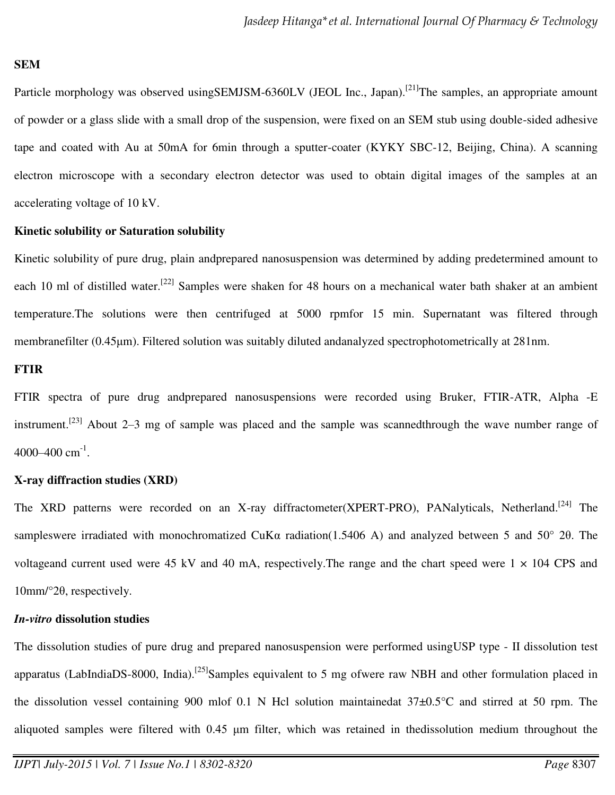#### **SEM**

Particle morphology was observed usingSEMJSM-6360LV (JEOL Inc., Japan).<sup>[21]</sup>The samples, an appropriate amount of powder or a glass slide with a small drop of the suspension, were fixed on an SEM stub using double-sided adhesive tape and coated with Au at 50mA for 6min through a sputter-coater (KYKY SBC-12, Beijing, China). A scanning electron microscope with a secondary electron detector was used to obtain digital images of the samples at an accelerating voltage of 10 kV.

#### **Kinetic solubility or Saturation solubility**

Kinetic solubility of pure drug, plain andprepared nanosuspension was determined by adding predetermined amount to each 10 ml of distilled water.<sup>[22]</sup> Samples were shaken for 48 hours on a mechanical water bath shaker at an ambient temperature.The solutions were then centrifuged at 5000 rpmfor 15 min. Supernatant was filtered through membranefilter (0.45μm). Filtered solution was suitably diluted andanalyzed spectrophotometrically at 281nm.

#### **FTIR**

FTIR spectra of pure drug andprepared nanosuspensions were recorded using Bruker, FTIR-ATR, Alpha -E instrument.<sup>[23]</sup> About 2–3 mg of sample was placed and the sample was scannedthrough the wave number range of  $4000 - 400$  cm<sup>-1</sup>.

#### **X-ray diffraction studies (XRD)**

The XRD patterns were recorded on an X-ray diffractometer(XPERT-PRO), PANalyticals, Netherland.<sup>[24]</sup> The sampleswere irradiated with monochromatized CuKα radiation(1.5406 A) and analyzed between 5 and 50° 2θ. The voltageand current used were 45 kV and 40 mA, respectively. The range and the chart speed were  $1 \times 104$  CPS and 10mm/°2θ, respectively.

#### *In-vitro* **dissolution studies**

The dissolution studies of pure drug and prepared nanosuspension were performed usingUSP type - II dissolution test apparatus (LabIndiaDS-8000, India).<sup>[25]</sup>Samples equivalent to 5 mg ofwere raw NBH and other formulation placed in the dissolution vessel containing 900 mlof 0.1 N Hcl solution maintainedat 37±0.5°C and stirred at 50 rpm. The aliquoted samples were filtered with 0.45 μm filter, which was retained in thedissolution medium throughout the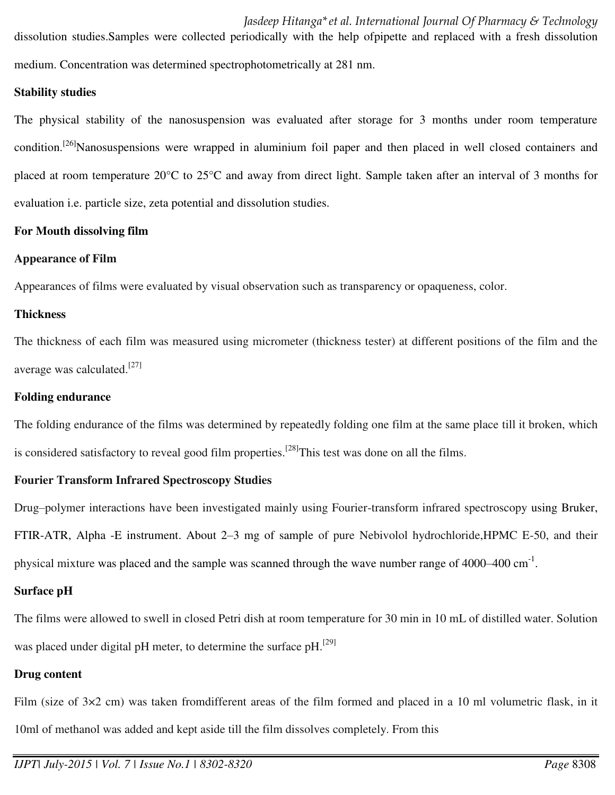dissolution studies.Samples were collected periodically with the help ofpipette and replaced with a fresh dissolution medium. Concentration was determined spectrophotometrically at 281 nm.

#### **Stability studies**

The physical stability of the nanosuspension was evaluated after storage for 3 months under room temperature condition.<sup>[26]</sup>Nanosuspensions were wrapped in aluminium foil paper and then placed in well closed containers and placed at room temperature 20°C to 25°C and away from direct light. Sample taken after an interval of 3 months for evaluation i.e. particle size, zeta potential and dissolution studies.

#### **For Mouth dissolving film**

#### **Appearance of Film**

Appearances of films were evaluated by visual observation such as transparency or opaqueness, color.

## **Thickness**

The thickness of each film was measured using micrometer (thickness tester) at different positions of the film and the average was calculated.[27]

## **Folding endurance**

The folding endurance of the films was determined by repeatedly folding one film at the same place till it broken, which is considered satisfactory to reveal good film properties.<sup>[28]</sup>This test was done on all the films.

## **Fourier Transform Infrared Spectroscopy Studies**

Drug–polymer interactions have been investigated mainly using Fourier-transform infrared spectroscopy using Bruker, FTIR-ATR, Alpha -E instrument. About 2–3 mg of sample of pure Nebivolol hydrochloride,HPMC E-50, and their physical mixture was placed and the sample was scanned through the wave number range of 4000–400 cm<sup>-1</sup>.

## **Surface pH**

The films were allowed to swell in closed Petri dish at room temperature for 30 min in 10 mL of distilled water. Solution was placed under digital pH meter, to determine the surface pH.<sup>[29]</sup>

## **Drug content**

Film (size of  $3\times2$  cm) was taken fromdifferent areas of the film formed and placed in a 10 ml volumetric flask, in it 10ml of methanol was added and kept aside till the film dissolves completely. From this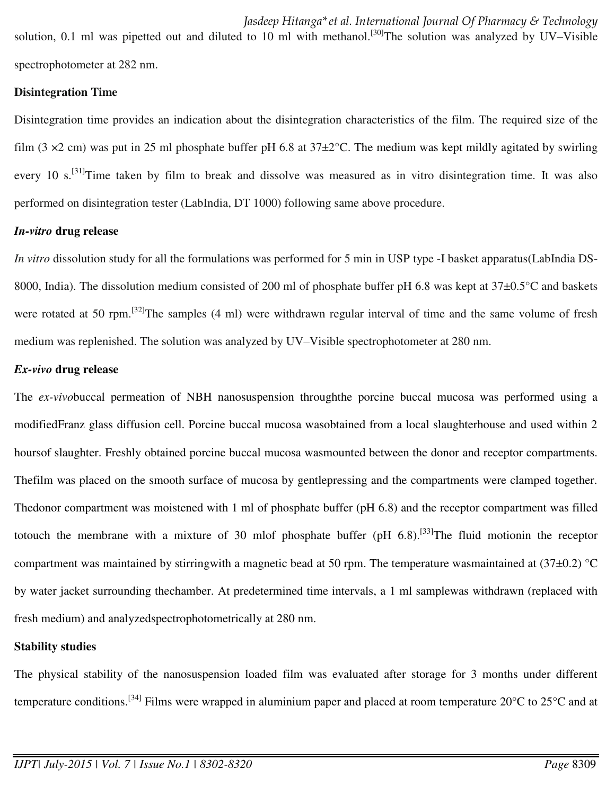solution, 0.1 ml was pipetted out and diluted to 10 ml with methanol.<sup>[30]</sup>The solution was analyzed by UV–Visible spectrophotometer at 282 nm.

#### **Disintegration Time**

Disintegration time provides an indication about the disintegration characteristics of the film. The required size of the film (3  $\times$ 2 cm) was put in 25 ml phosphate buffer pH 6.8 at 37 $\pm$ 2°C. The medium was kept mildly agitated by swirling every 10 s.<sup>[31]</sup>Time taken by film to break and dissolve was measured as in vitro disintegration time. It was also performed on disintegration tester (LabIndia, DT 1000) following same above procedure.

#### *In-vitro* **drug release**

*In vitro* dissolution study for all the formulations was performed for 5 min in USP type -I basket apparatus(LabIndia DS-8000, India). The dissolution medium consisted of 200 ml of phosphate buffer pH 6.8 was kept at 37±0.5°C and baskets were rotated at 50 rpm.<sup>[32]</sup>The samples (4 ml) were withdrawn regular interval of time and the same volume of fresh medium was replenished. The solution was analyzed by UV–Visible spectrophotometer at 280 nm.

#### *Ex-vivo* **drug release**

The *ex-vivo*buccal permeation of NBH nanosuspension throughthe porcine buccal mucosa was performed using a modifiedFranz glass diffusion cell. Porcine buccal mucosa wasobtained from a local slaughterhouse and used within 2 hoursof slaughter. Freshly obtained porcine buccal mucosa wasmounted between the donor and receptor compartments. Thefilm was placed on the smooth surface of mucosa by gentlepressing and the compartments were clamped together. Thedonor compartment was moistened with 1 ml of phosphate buffer (pH 6.8) and the receptor compartment was filled totouch the membrane with a mixture of 30 mlof phosphate buffer (pH  $6.8$ ).<sup>[33]</sup>The fluid motionin the receptor compartment was maintained by stirringwith a magnetic bead at 50 rpm. The temperature wasmaintained at  $(37\pm0.2)$  °C by water jacket surrounding thechamber. At predetermined time intervals, a 1 ml samplewas withdrawn (replaced with fresh medium) and analyzedspectrophotometrically at 280 nm.

#### **Stability studies**

The physical stability of the nanosuspension loaded film was evaluated after storage for 3 months under different temperature conditions.<sup>[34]</sup> Films were wrapped in aluminium paper and placed at room temperature  $20^{\circ}$ C to  $25^{\circ}$ C and at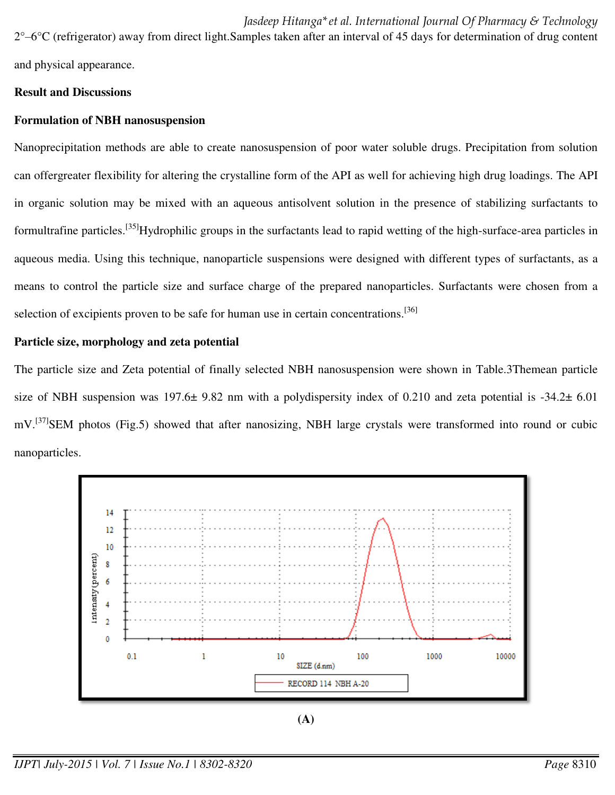*Jasdeep Hitanga\*et al. International Journal Of Pharmacy & Technology*   $2^{\circ}$ –6 $^{\circ}$ C (refrigerator) away from direct light. Samples taken after an interval of 45 days for determination of drug content and physical appearance.

**Result and Discussions** 

#### **Formulation of NBH nanosuspension**

Nanoprecipitation methods are able to create nanosuspension of poor water soluble drugs. Precipitation from solution can offergreater flexibility for altering the crystalline form of the API as well for achieving high drug loadings. The API in organic solution may be mixed with an aqueous antisolvent solution in the presence of stabilizing surfactants to formultrafine particles.<sup>[35]</sup>Hydrophilic groups in the surfactants lead to rapid wetting of the high-surface-area particles in aqueous media. Using this technique, nanoparticle suspensions were designed with different types of surfactants, as a means to control the particle size and surface charge of the prepared nanoparticles. Surfactants were chosen from a selection of excipients proven to be safe for human use in certain concentrations.<sup>[36]</sup>

#### **Particle size, morphology and zeta potential**

The particle size and Zeta potential of finally selected NBH nanosuspension were shown in Table.3Themean particle size of NBH suspension was  $197.6\pm 9.82$  nm with a polydispersity index of 0.210 and zeta potential is -34.2 $\pm$  6.01 mV.<sup>[37]</sup>SEM photos (Fig.5) showed that after nanosizing, NBH large crystals were transformed into round or cubic nanoparticles.



**(A)**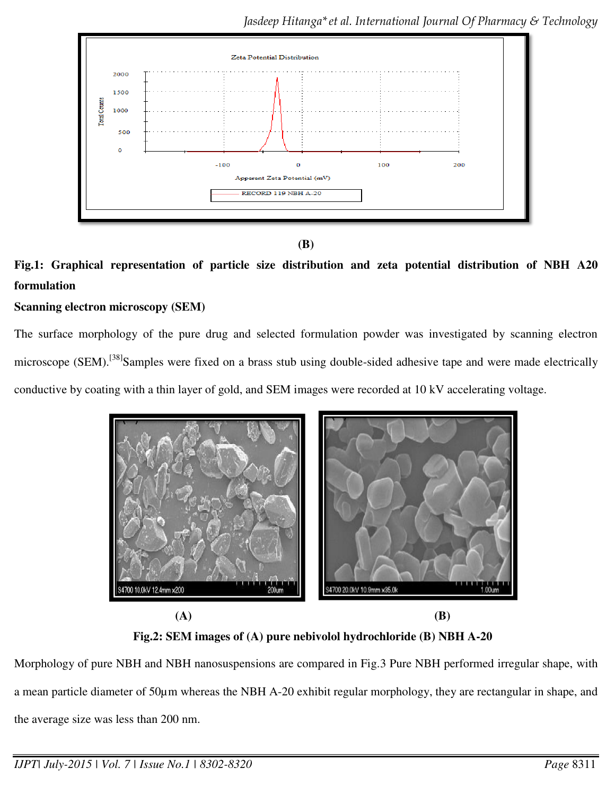



# **Fig.1: Graphical representation of particle size distribution and zeta potential distribution of NBH A20 formulation**

## **Scanning electron microscopy (SEM)**

The surface morphology of the pure drug and selected formulation powder was investigated by scanning electron microscope (SEM).<sup>[38]</sup>Samples were fixed on a brass stub using double-sided adhesive tape and were made electrically conductive by coating with a thin layer of gold, and SEM images were recorded at 10 kV accelerating voltage.



**Fig.2: SEM images of (A) pure nebivolol hydrochloride (B) NBH A-20**

Morphology of pure NBH and NBH nanosuspensions are compared in Fig.3 Pure NBH performed irregular shape, with a mean particle diameter of 50µm whereas the NBH A-20 exhibit regular morphology, they are rectangular in shape, and the average size was less than 200 nm.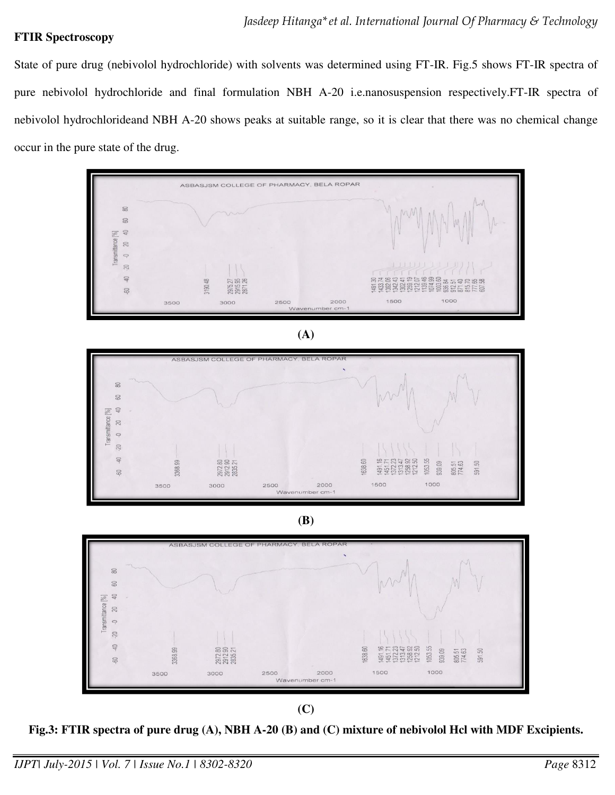#### **FTIR Spectroscopy**

State of pure drug (nebivolol hydrochloride) with solvents was determined using FT-IR. Fig.5 shows FT-IR spectra of pure nebivolol hydrochloride and final formulation NBH A-20 i.e.nanosuspension respectively.FT-IR spectra of nebivolol hydrochlorideand NBH A-20 shows peaks at suitable range, so it is clear that there was no chemical change occur in the pure state of the drug.



**(A)** 



**(B)** 



**(C)** 

**Fig.3: FTIR spectra of pure drug (A), NBH A-20 (B) and (C) mixture of nebivolol Hcl with MDF Excipients.**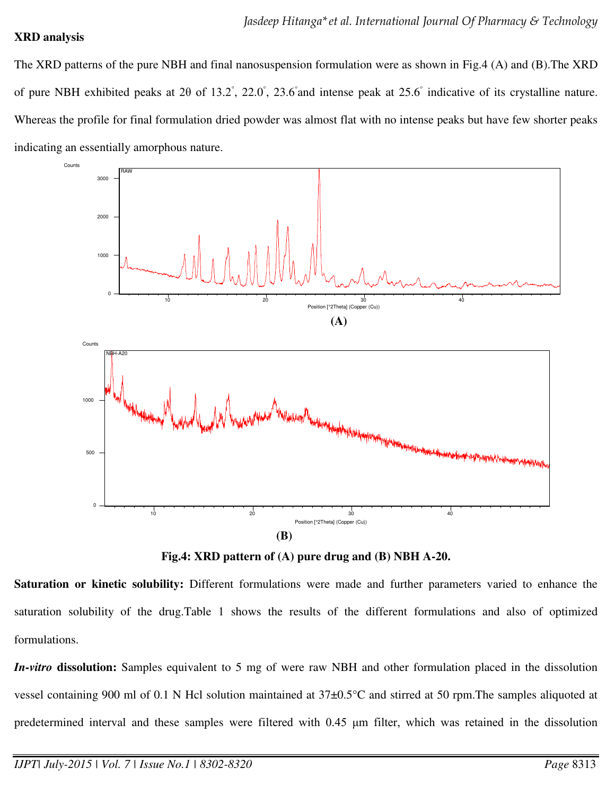#### **XRD analysis**

The XRD patterns of the pure NBH and final nanosuspension formulation were as shown in Fig.4 (A) and (B).The XRD of pure NBH exhibited peaks at 2 $\theta$  of 13.2°, 22.0°, 23.6° and intense peak at 25.6° indicative of its crystalline nature. Whereas the profile for final formulation dried powder was almost flat with no intense peaks but have few shorter peaks indicating an essentially amorphous nature.



**Fig.4: XRD pattern of (A) pure drug and (B) NBH A-20.** 

**Saturation or kinetic solubility:** Different formulations were made and further parameters varied to enhance the saturation solubility of the drug.Table 1 shows the results of the different formulations and also of optimized formulations.

*In-vitro* **dissolution:** Samples equivalent to 5 mg of were raw NBH and other formulation placed in the dissolution vessel containing 900 ml of 0.1 N Hcl solution maintained at 37±0.5°C and stirred at 50 rpm.The samples aliquoted at predetermined interval and these samples were filtered with 0.45 μm filter, which was retained in the dissolution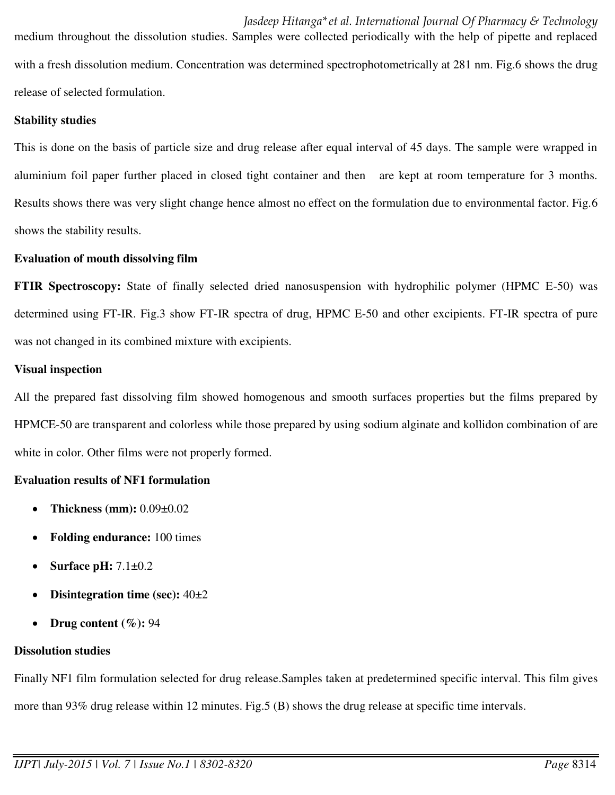with a fresh dissolution medium. Concentration was determined spectrophotometrically at 281 nm. Fig.6 shows the drug release of selected formulation.

## **Stability studies**

This is done on the basis of particle size and drug release after equal interval of 45 days. The sample were wrapped in aluminium foil paper further placed in closed tight container and then are kept at room temperature for 3 months. Results shows there was very slight change hence almost no effect on the formulation due to environmental factor. Fig.6 shows the stability results.

## **Evaluation of mouth dissolving film**

**FTIR Spectroscopy:** State of finally selected dried nanosuspension with hydrophilic polymer (HPMC E-50) was determined using FT-IR. Fig.3 show FT-IR spectra of drug, HPMC E-50 and other excipients. FT-IR spectra of pure was not changed in its combined mixture with excipients.

## **Visual inspection**

All the prepared fast dissolving film showed homogenous and smooth surfaces properties but the films prepared by HPMCE-50 are transparent and colorless while those prepared by using sodium alginate and kollidon combination of are white in color. Other films were not properly formed.

## **Evaluation results of NF1 formulation**

- **Thickness (mm):** 0.09±0.02
- **Folding endurance:** 100 times
- **Surface pH:** 7.1±0.2
- **Disintegration time (sec):** 40±2
- **Drug content (%):** 94

## **Dissolution studies**

Finally NF1 film formulation selected for drug release.Samples taken at predetermined specific interval. This film gives more than 93% drug release within 12 minutes. Fig.5 (B) shows the drug release at specific time intervals.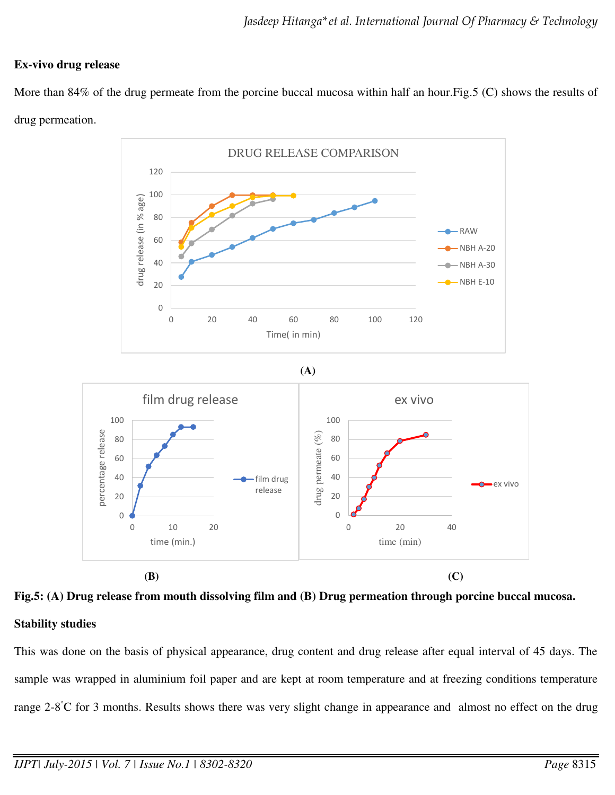#### **Ex-vivo drug release**

More than 84% of the drug permeate from the porcine buccal mucosa within half an hour.Fig.5 (C) shows the results of drug permeation.



**Fig.5: (A) Drug release from mouth dissolving film and (B) Drug permeation through porcine buccal mucosa. Stability studies**

This was done on the basis of physical appearance, drug content and drug release after equal interval of 45 days. The sample was wrapped in aluminium foil paper and are kept at room temperature and at freezing conditions temperature range 2-8◦C for 3 months. Results shows there was very slight change in appearance and almost no effect on the drug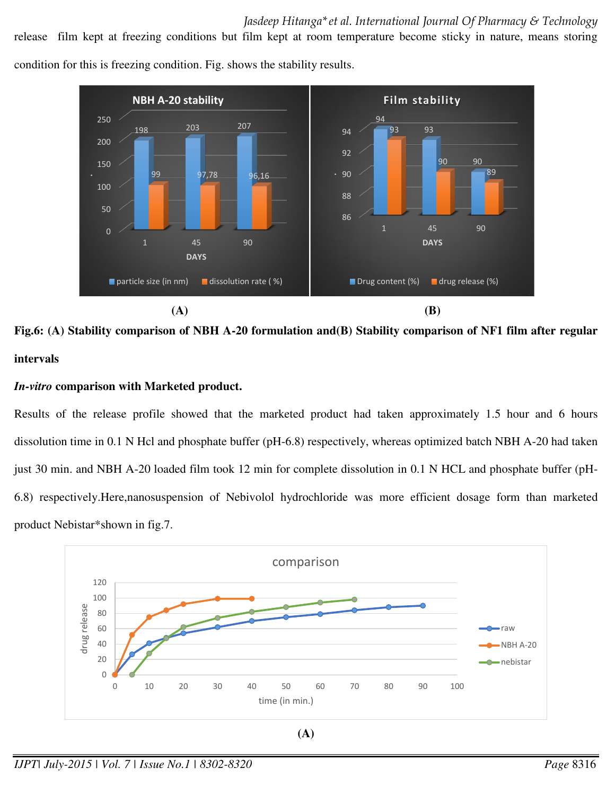release film kept at freezing conditions but film kept at room temperature become sticky in nature, means storing condition for this is freezing condition. Fig. shows the stability results.



**Fig.6: (A) Stability comparison of NBH A-20 formulation and(B) Stability comparison of NF1 film after regular** 

## **intervals**

## *In-vitro* **comparison with Marketed product.**

Results of the release profile showed that the marketed product had taken approximately 1.5 hour and 6 hours dissolution time in 0.1 N Hcl and phosphate buffer (pH-6.8) respectively, whereas optimized batch NBH A-20 had taken just 30 min. and NBH A-20 loaded film took 12 min for complete dissolution in 0.1 N HCL and phosphate buffer (pH-6.8) respectively.Here,nanosuspension of Nebivolol hydrochloride was more efficient dosage form than marketed product Nebistar\*shown in fig.7.



*IJPT| July-2015 | Vol. 7 | Issue No.1 | 8302-8320 Page* 8316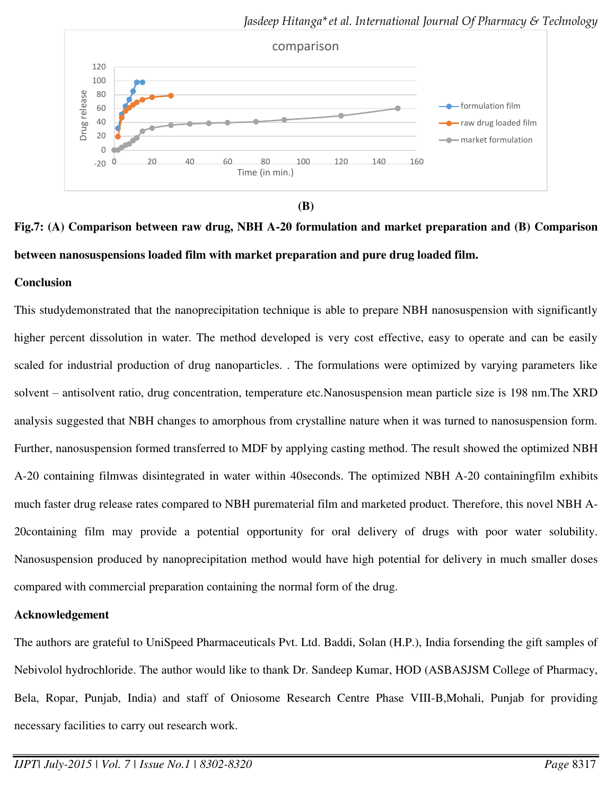

**(B)** 

# **Fig.7: (A) Comparison between raw drug, NBH A-20 formulation and market preparation and (B) Comparison between nanosuspensions loaded film with market preparation and pure drug loaded film.**

#### **Conclusion**

This studydemonstrated that the nanoprecipitation technique is able to prepare NBH nanosuspension with significantly higher percent dissolution in water. The method developed is very cost effective, easy to operate and can be easily scaled for industrial production of drug nanoparticles. . The formulations were optimized by varying parameters like solvent – antisolvent ratio, drug concentration, temperature etc.Nanosuspension mean particle size is 198 nm.The XRD analysis suggested that NBH changes to amorphous from crystalline nature when it was turned to nanosuspension form. Further, nanosuspension formed transferred to MDF by applying casting method. The result showed the optimized NBH A-20 containing filmwas disintegrated in water within 40seconds. The optimized NBH A-20 containingfilm exhibits much faster drug release rates compared to NBH purematerial film and marketed product. Therefore, this novel NBH A-20containing film may provide a potential opportunity for oral delivery of drugs with poor water solubility. Nanosuspension produced by nanoprecipitation method would have high potential for delivery in much smaller doses compared with commercial preparation containing the normal form of the drug.

#### **Acknowledgement**

The authors are grateful to UniSpeed Pharmaceuticals Pvt. Ltd. Baddi, Solan (H.P.), India forsending the gift samples of Nebivolol hydrochloride. The author would like to thank Dr. Sandeep Kumar, HOD (ASBASJSM College of Pharmacy, Bela, Ropar, Punjab, India) and staff of Oniosome Research Centre Phase VIII-B,Mohali, Punjab for providing necessary facilities to carry out research work.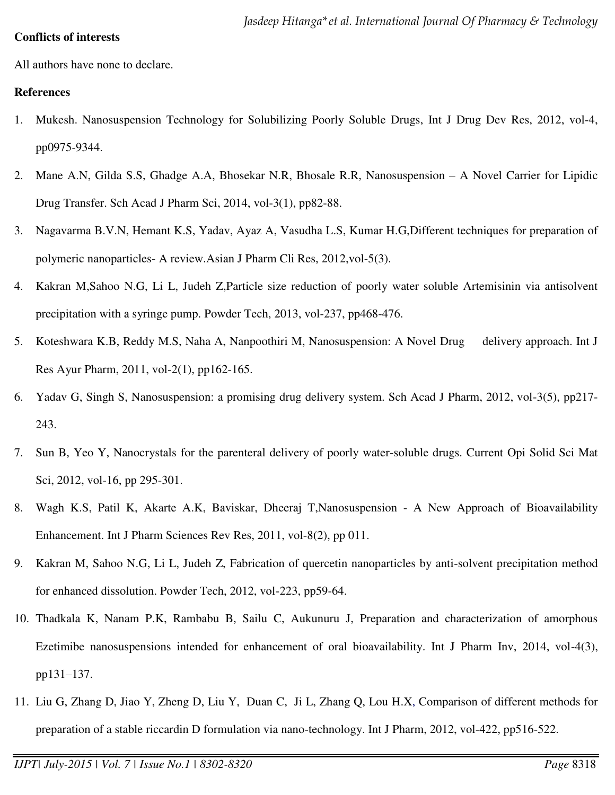#### **Conflicts of interests**

All authors have none to declare.

#### **References**

- 1. Mukesh. Nanosuspension Technology for Solubilizing Poorly Soluble Drugs, Int J Drug Dev Res, 2012, vol-4, pp0975-9344.
- 2. Mane A.N, Gilda S.S, Ghadge A.A, Bhosekar N.R, Bhosale R.R, Nanosuspension A Novel Carrier for Lipidic Drug Transfer. Sch Acad J Pharm Sci, 2014, vol-3(1), pp82-88.
- 3. Nagavarma B.V.N, Hemant K.S, Yadav, Ayaz A, Vasudha L.S, Kumar H.G,Different techniques for preparation of polymeric nanoparticles- A review.Asian J Pharm Cli Res, 2012,vol-5(3).
- 4. Kakran M,Sahoo N.G, Li L, Judeh Z,Particle size reduction of poorly water soluble Artemisinin via antisolvent precipitation with a syringe pump. Powder Tech, 2013, vol-237, pp468-476.
- 5. Koteshwara K.B, Reddy M.S, Naha A, Nanpoothiri M, Nanosuspension: A Novel Drug delivery approach. Int J Res Ayur Pharm, 2011, vol-2(1), pp162-165.
- 6. Yadav G, Singh S, Nanosuspension: a promising drug delivery system. Sch Acad J Pharm, 2012, vol-3(5), pp217- 243.
- 7. Sun B, Yeo Y, Nanocrystals for the parenteral delivery of poorly water-soluble drugs. Current Opi Solid Sci Mat Sci, 2012, vol-16, pp 295-301.
- 8. Wagh K.S, Patil K, Akarte A.K, Baviskar, Dheeraj T,Nanosuspension A New Approach of Bioavailability Enhancement. Int J Pharm Sciences Rev Res, 2011, vol-8(2), pp 011.
- 9. Kakran M, Sahoo N.G, Li L, Judeh Z, Fabrication of quercetin nanoparticles by anti-solvent precipitation method for enhanced dissolution. Powder Tech, 2012, vol-223, pp59-64.
- 10. Thadkala K, Nanam P.K, Rambabu B, Sailu C, Aukunuru J, Preparation and characterization of amorphous Ezetimibe nanosuspensions intended for enhancement of oral bioavailability. Int J Pharm Inv, 2014, vol-4(3), pp131–137.
- 11. Liu G, Zhang D, Jiao Y, Zheng D, Liu Y, Duan C, Ji L, Zhang Q, Lou H.X, Comparison of different methods for preparation of a stable riccardin D formulation via nano-technology. Int J Pharm, 2012, vol-422, pp516-522.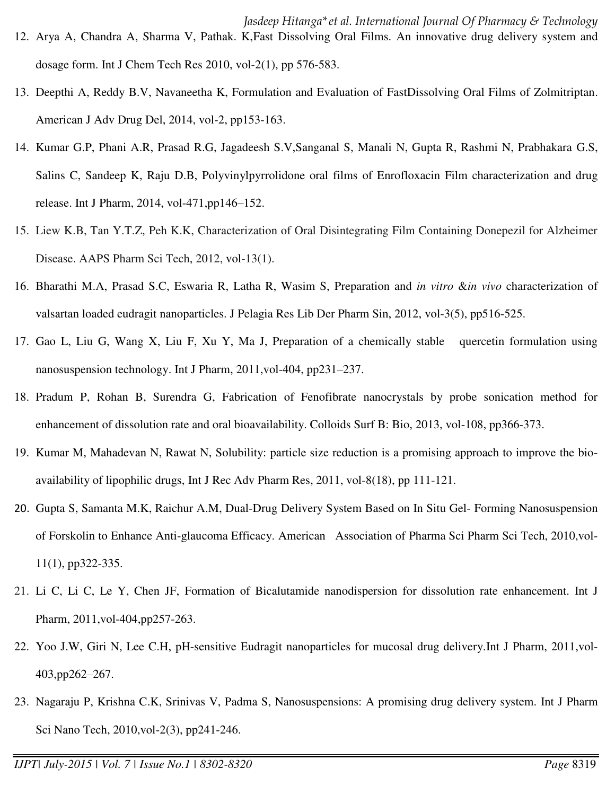- 13. Deepthi A, Reddy B.V, Navaneetha K, Formulation and Evaluation of FastDissolving Oral Films of Zolmitriptan. American J Adv Drug Del, 2014, vol-2, pp153-163.
- 14. Kumar G.P, Phani A.R, Prasad R.G, Jagadeesh S.V,Sanganal S, Manali N, Gupta R, Rashmi N, Prabhakara G.S, Salins C, Sandeep K, Raju D.B, Polyvinylpyrrolidone oral films of Enrofloxacin Film characterization and drug release. Int J Pharm, 2014, vol-471,pp146–152.
- 15. Liew K.B, Tan Y.T.Z, Peh K.K, Characterization of Oral Disintegrating Film Containing Donepezil for Alzheimer Disease. AAPS Pharm Sci Tech, 2012, vol-13(1).
- 16. Bharathi M.A, Prasad S.C, Eswaria R, Latha R, Wasim S, Preparation and *in vitro* &*in vivo* characterization of valsartan loaded eudragit nanoparticles. J Pelagia Res Lib Der Pharm Sin, 2012, vol-3(5), pp516-525.
- 17. Gao L, Liu G, Wang X, Liu F, Xu Y, Ma J, Preparation of a chemically stable quercetin formulation using nanosuspension technology. Int J Pharm, 2011,vol-404, pp231–237.
- 18. Pradum P, Rohan B, Surendra G, Fabrication of Fenofibrate nanocrystals by probe sonication method for enhancement of dissolution rate and oral bioavailability. Colloids Surf B: Bio, 2013, vol-108, pp366-373.
- 19. Kumar M, Mahadevan N, Rawat N, Solubility: particle size reduction is a promising approach to improve the bioavailability of lipophilic drugs, Int J Rec Adv Pharm Res, 2011, vol-8(18), pp 111-121.
- 20. Gupta S, Samanta M.K, Raichur A.M, Dual-Drug Delivery System Based on In Situ Gel- Forming Nanosuspension of Forskolin to Enhance Anti-glaucoma Efficacy. American Association of Pharma Sci Pharm Sci Tech, 2010,vol-11(1), pp322-335.
- 21. Li C, Li C, Le Y, Chen JF, Formation of Bicalutamide nanodispersion for dissolution rate enhancement. Int J Pharm, 2011,vol-404,pp257-263.
- 22. Yoo J.W, Giri N, Lee C.H, pH-sensitive Eudragit nanoparticles for mucosal drug delivery.Int J Pharm, 2011,vol-403,pp262–267.
- 23. Nagaraju P, Krishna C.K, Srinivas V, Padma S, Nanosuspensions: A promising drug delivery system. Int J Pharm Sci Nano Tech, 2010,vol-2(3), pp241-246.